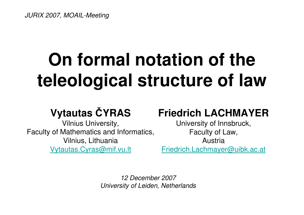JURIX 2007, MOAIL-Meeting

# **On formal notation of the teleological structure of law**

### **Vytautas** Č**YRAS**

 Vilnius University, Faculty of Mathematics and Informatics, Vilnius, LithuaniaVytautas.Cyras@mif.vu.lt

#### **Friedrich LACHMAYER**

University of Innsbruck, Faculty of Law, AustriaFriedrich.Lachmayer@uibk.ac.at

12 December 2007University of Leiden, Netherlands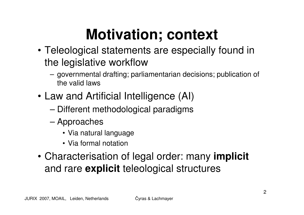## **Motivation; context**

- Teleological statements are especially found in the legislative workflow
	- GOVArnmantal dratting' nar governmental drafting; parliamentarian decisions; publication of the valid laws
- Law and Artificial Intelligence (AI)
	- –Different methodological paradigms
	- – Approaches
		- Via natural language
		- Via formal notation
- Characterisation of legal order: many **implicit**and rare **explicit** teleological structures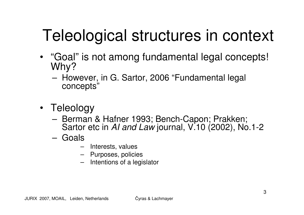# Teleological structures in context

- "Goal" is not among fundamental legal concepts! Why?
	- Hr However, in G. Sartor, 2006 "Fundamental legal concepts"
- Teleology
	- Berman & Hafner 1993; Bench-Capon; Prakken; Berman & Hafner 1993; Bench-Capon; Prakken;<br>Sartor etc in Al and Law journal, V.10 (2002), No. journal, V.10 (2002), No.1-2
	- – Goals
		- Interests, values
		- Purposes, policies
		- Intentions of a legislator–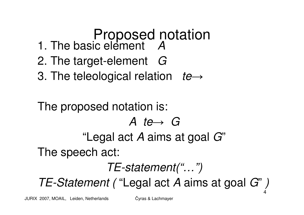#### Proposed notation1. The basic element A

- 2. The target-element  $\,$   $G$
- 3. The teleological relation te  $\longrightarrow$

### 4The proposed notation is:A te→G "Legal act A aims at goal G"The speech act:TE-statement("…")TE-Statement ( "Legal act A aims at goal G")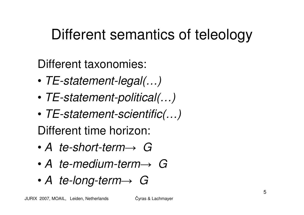### Different semantics of teleology

Different taxonomies:

- •TE-statement-legal(…)
- •TE-statement-political(…)
- • TE-statement-scientific(…) Different time horizon:
- • A te-short-term $\,\,\rightarrow\,\, G$
- $\bullet$   $\varDelta$  to-modium-torm- A te-medium-term $\,\,\rightarrow\,\, G$
- $\bullet$  4 to-inna-torm  $\rightarrow$  . A te-long-term $\,\,\rightarrow\,\, G$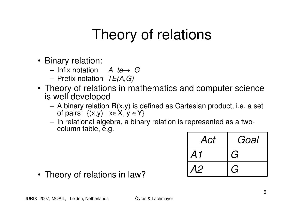### Theory of relations

- Binary relation:
	- Infix notation  $A$  te $\rightarrow G$
	- $-$  PIPIL HORTHOLL LETA (7) Prefix notation  $TE(A, G)$
- Theory of relations in mathematics and computer science is well developed
	- $\Delta$  hingry raigtini A binary relation R(x,y) is defined as Cartesian product, i.e. a set of pairs: {(x,y) | x∈X, y ∈Y}
	- the contract of the contract of the contract of In relational algebra, a binary relation is represented as a twocolumn table, e.g.

| Act | Goal           |
|-----|----------------|
| A1  | G              |
| A2  | ( <del>;</del> |

• Theory of relations in law?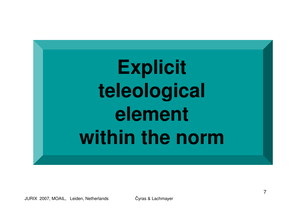# Explicit **teleologicalelementwithin the norm**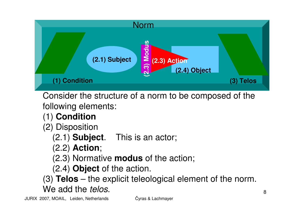

Consider the structure of a norm to be composed of the following elements:

- (1) **Condition**
- (2) Disposition
	- (2.1) **Subject**. This is an actor;
	- (2.2) **Action**;
	- (2.3) Normative **modus** of the action;
	- (2.4) **Object** of the action.
- (3) **Telos** the explicit teleological element of the norm. We add the *telos*.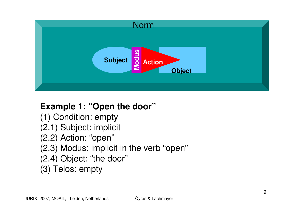

#### **Example 1: "Open the door"**

(1) Condition: empty (2.1) Subject: implicit(2.2) Action: "open" (2.3) Modus: implicit in the verb "open"(2.4) Object: "the door"(3) Telos: empty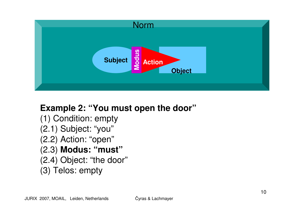

#### **Example 2: "You must open the door"**

(1) Condition: empty (2.1) Subject: "you" (2.2) Action: "open" (2.3) **Modus: "must"**(2.4) Object: "the door"

(3) Telos: empty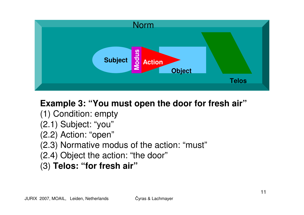

#### **Example 3: "You must open the door for fresh air"**

- (1) Condition: empty
- (2.1) Subject: "you"
- (2.2) Action: "open"
- (2.3) Normative modus of the action: "must"
- (2.4) Object the action: "the door"
- (3) **Telos: "for fresh air"**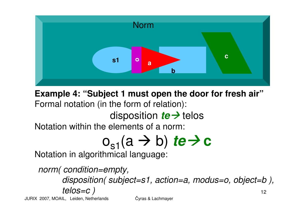

**Example 4: "Subject 1 must open the door for fresh air"**Formal notation (in the form of relation):

# disposition *te* -> telos<br>elements of a norm:

Notation within the elements of a norm:

# **O<sub>S1</sub>(a → b)** *te* **→ c**<br>hmical language:

Notation in algorithmical language:

12norm( condition=empty,disposition( subject=s1, action=a, modus=o, object=b), telos=c )

JURIX 2007, MOAIL, Leiden, Netherlands

<sup>Č</sup>yras & Lachmayer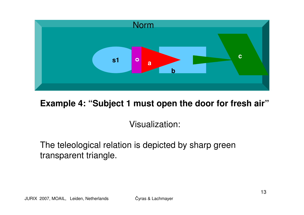

**Example 4: "Subject 1 must open the door for fresh air"**

Visualization:

The teleological relation is depicted by sharp green transparent triangle.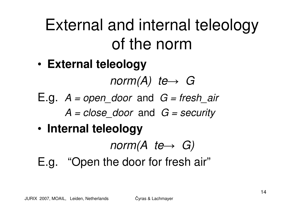# External and internal teleology of the norm

•**External teleology**

> norm(A) te $\,\,\rightarrow\,\, G$

- $E.g.$   $A = open\_door$  and  $G = fresh\_air$ 
	- $A = close\_door$  and  $G = security$
- •**Internal teleology**

norm(A te $\longrightarrow$  $\rightarrow$  G)<br>froch

E.g. "Open the door for fresh air"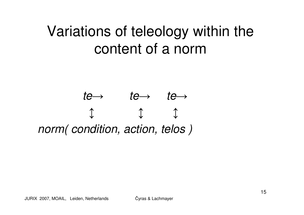### Variations of teleology within the content of a norm

#### $te \rightarrow \qquad te \rightarrow \qquad te \rightarrow$  $\downarrow$  $\updownarrow$ norm(condition, action, telos)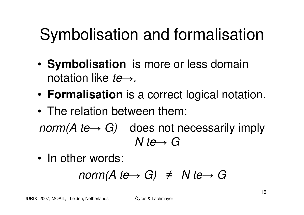# Symbolisation and formalisation

- •**Symbolisation** is more or less domain notation like *te*→.
- •**Formalisation** is a correct logical notation.
- • The relation between them: norm(A te $\longrightarrow$  $\rightarrow G$ ) does not necessarily imply<br>  $\rightarrow$  G N te $\rightarrow G$
- •In other words:

$$
norm(A \t{t e} \rightarrow G) \neq N \t{t e} \rightarrow G
$$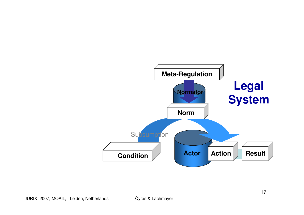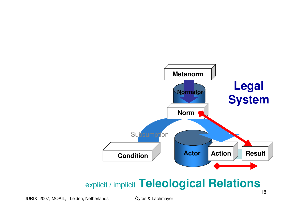![](_page_17_Figure_0.jpeg)

JURIX 2007, MOAIL, Leiden, Netherlands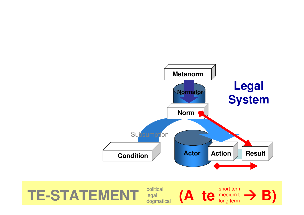![](_page_18_Figure_0.jpeg)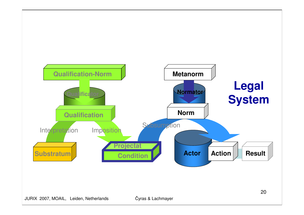![](_page_19_Figure_0.jpeg)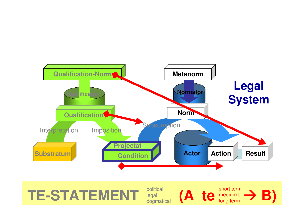![](_page_20_Figure_0.jpeg)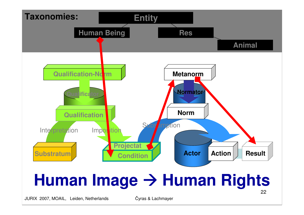![](_page_21_Figure_0.jpeg)